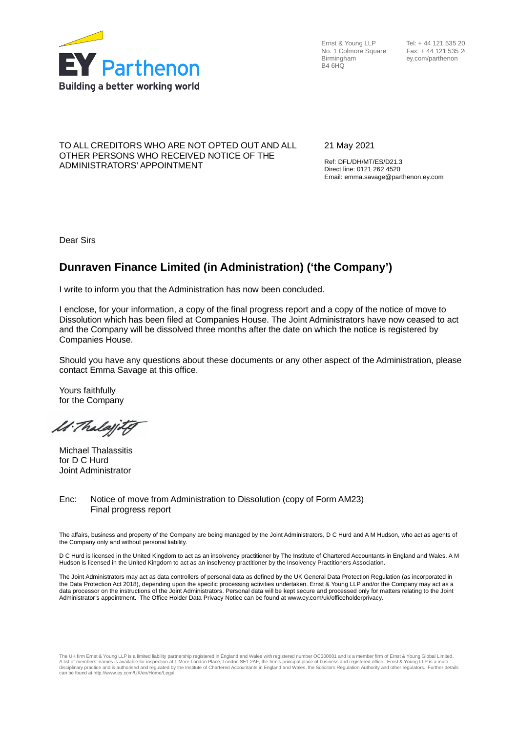

Ernst & Young LLP No. 1 Colmore Square Birmingham B4 6HQ

Tel: + 44 121 535 20 Fax: +44 121 535 2 ey.com/parthenon

### TO ALL CREDITORS WHO ARE NOT OPTED OUT AND ALL OTHER PERSONS WHO RECEIVED NOTICE OF THE ADMINISTRATORS' APPOINTMENT

21 May 2021

Ref: DFL/DH/MT/ES/D21.3 Direct line: 0121 262 4520 Email: emma.savage@parthenon.ey.com

Dear Sirs

# **Dunraven Finance Limited (in Administration) ('the Company')**

I write to inform you that the Administration has now been concluded.

I enclose, for your information, a copy of the final progress report and a copy of the notice of move to Dissolution which has been filed at Companies House. The Joint Administrators have now ceased to act and the Company will be dissolved three months after the date on which the notice is registered by Companies House.

Should you have any questions about these documents or any other aspect of the Administration, please contact Emma Savage at this office.

Yours faithfully for the Company

M. Thalajity

Michael Thalassitis for D C Hurd Joint Administrator

Enc: Notice of move from Administration to Dissolution (copy of Form AM23) Final progress report

The affairs, business and property of the Company are being managed by the Joint Administrators, D C Hurd and A M Hudson, who act as agents of the Company only and without personal liability.

D C Hurd is licensed in the United Kingdom to act as an insolvency practitioner by The Institute of Chartered Accountants in England and Wales. A M Hudson is licensed in the United Kingdom to act as an insolvency practitioner by the Insolvency Practitioners Association.

The Joint Administrators may act as data controllers of personal data as defined by the UK General Data Protection Regulation (as incorporated in the Data Protection Act 2018), depending upon the specific processing activities undertaken. Ernst & Young LLP and/or the Company may act as a data processor on the instructions of the Joint Administrators. Personal data will be kept secure and processed only for matters relating to the Joint Administrator's appointment. The Office Holder Data Privacy Notice can be found at www.ey.com/uk/officeholderprivacy.

The UK firm Ernst & Young LLP is a limited liability partnership registered in England and Wales with registered number OC300001 and is a member firm of Ernst & Young Global Limited.<br>A list of members' names is available f disciplinary practice and is authorised and regulated by the Institute of Chartered Accountants in England and Wales, the Solicitors Regulation Authority and other regulators. Further details<br>can be found at http://www.ey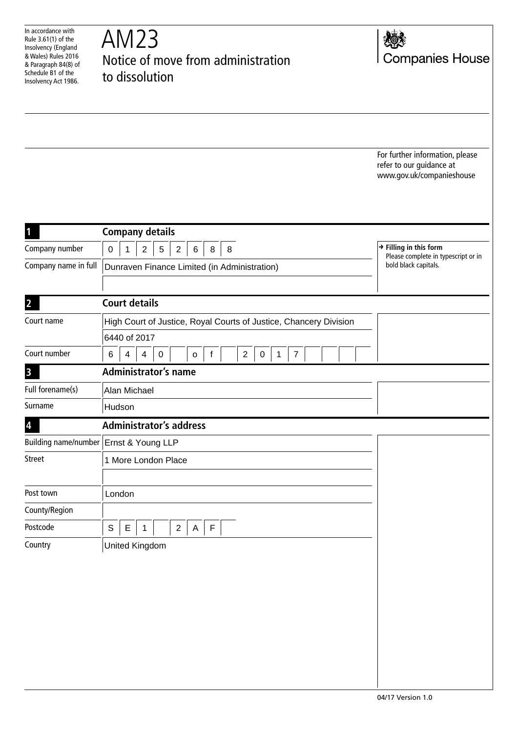| In accordance with<br>Rule 3.61(1) of the<br>Insolvency (England<br>& Wales) Rules 2016<br>& Paragraph 84(8) of<br>Schedule B1 of the<br>Insolvency Act 1986. | AM23<br>Notice of move from administration<br>to dissolution                                                              | <b>Companies House</b>                                                                   |
|---------------------------------------------------------------------------------------------------------------------------------------------------------------|---------------------------------------------------------------------------------------------------------------------------|------------------------------------------------------------------------------------------|
|                                                                                                                                                               |                                                                                                                           |                                                                                          |
|                                                                                                                                                               |                                                                                                                           |                                                                                          |
|                                                                                                                                                               |                                                                                                                           | For further information, please<br>refer to our guidance at<br>www.gov.uk/companieshouse |
| 1                                                                                                                                                             | <b>Company details</b>                                                                                                    |                                                                                          |
| Company number                                                                                                                                                | $\mathbf{2}$<br>5<br>$\boldsymbol{2}$<br>$\mathsf 0$<br>8<br>8<br>1<br>6                                                  | $\rightarrow$ Filling in this form                                                       |
| Company name in full                                                                                                                                          | Dunraven Finance Limited (in Administration)                                                                              | Please complete in typescript or in<br>bold black capitals.                              |
| $\overline{2}$                                                                                                                                                | <b>Court details</b>                                                                                                      |                                                                                          |
| Court name                                                                                                                                                    | High Court of Justice, Royal Courts of Justice, Chancery Division                                                         |                                                                                          |
|                                                                                                                                                               | 6440 of 2017                                                                                                              |                                                                                          |
| Court number                                                                                                                                                  | $\overline{c}$<br>$\pmb{0}$<br>6<br>$\overline{\mathbf{4}}$<br>$\pmb{0}$<br>$\mathsf{f}$<br>1<br>$\overline{7}$<br>4<br>o |                                                                                          |
| $\mathbf{3}$                                                                                                                                                  | <b>Administrator's name</b>                                                                                               |                                                                                          |
| Full forename(s)                                                                                                                                              | Alan Michael                                                                                                              |                                                                                          |
| Surname                                                                                                                                                       | Hudson                                                                                                                    |                                                                                          |
| $\overline{\mathbf{r}}$                                                                                                                                       | <b>Administrator's address</b>                                                                                            |                                                                                          |
|                                                                                                                                                               | Building name/number   Ernst & Young LLP                                                                                  |                                                                                          |
| <b>Street</b>                                                                                                                                                 | 1 More London Place                                                                                                       |                                                                                          |
| Post town                                                                                                                                                     | London                                                                                                                    |                                                                                          |
| County/Region                                                                                                                                                 |                                                                                                                           |                                                                                          |
| Postcode                                                                                                                                                      | $\mathsf S$<br>$\mathsf E$<br>F<br>$\overline{2}$<br>A<br>1                                                               |                                                                                          |
| Country                                                                                                                                                       | United Kingdom                                                                                                            |                                                                                          |
|                                                                                                                                                               |                                                                                                                           |                                                                                          |
|                                                                                                                                                               |                                                                                                                           |                                                                                          |
|                                                                                                                                                               |                                                                                                                           |                                                                                          |
|                                                                                                                                                               |                                                                                                                           |                                                                                          |
|                                                                                                                                                               |                                                                                                                           |                                                                                          |
|                                                                                                                                                               |                                                                                                                           |                                                                                          |
|                                                                                                                                                               |                                                                                                                           |                                                                                          |
|                                                                                                                                                               |                                                                                                                           |                                                                                          |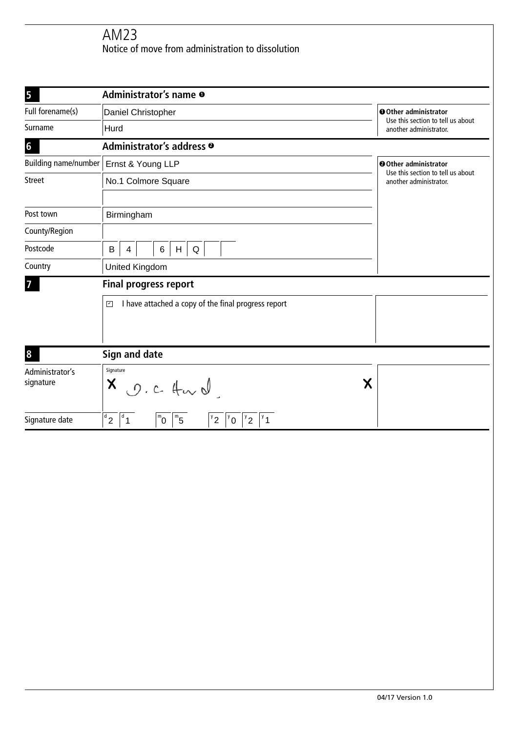| 5                    | Administrator's name $\bullet$                                                                                                                                                 |   |                                                            |  |  |
|----------------------|--------------------------------------------------------------------------------------------------------------------------------------------------------------------------------|---|------------------------------------------------------------|--|--|
| Full forename(s)     | Daniel Christopher                                                                                                                                                             |   | O Other administrator<br>Use this section to tell us about |  |  |
| Surname              | Hurd                                                                                                                                                                           |   | another administrator.                                     |  |  |
| $6\phantom{a}$       | Administrator's address <sup>®</sup>                                                                                                                                           |   |                                                            |  |  |
| Building name/number | Ernst & Young LLP                                                                                                                                                              |   | O Other administrator<br>Use this section to tell us about |  |  |
| <b>Street</b>        | No.1 Colmore Square                                                                                                                                                            |   | another administrator.                                     |  |  |
|                      |                                                                                                                                                                                |   |                                                            |  |  |
| Post town            | Birmingham                                                                                                                                                                     |   |                                                            |  |  |
| County/Region        |                                                                                                                                                                                |   |                                                            |  |  |
| Postcode             | $\sf B$<br>6<br>H<br>$\mathsf Q$<br>4                                                                                                                                          |   |                                                            |  |  |
| Country              | <b>United Kingdom</b>                                                                                                                                                          |   |                                                            |  |  |
| 7                    | <b>Final progress report</b>                                                                                                                                                   |   |                                                            |  |  |
|                      | I have attached a copy of the final progress report<br>$\overline{\mathbf{r}}$                                                                                                 |   |                                                            |  |  |
|                      |                                                                                                                                                                                |   |                                                            |  |  |
|                      |                                                                                                                                                                                |   |                                                            |  |  |
| 8                    | Sign and date                                                                                                                                                                  |   |                                                            |  |  |
| Administrator's      | Signature                                                                                                                                                                      |   |                                                            |  |  |
| signature            | X<br>0.24                                                                                                                                                                      | Χ |                                                            |  |  |
|                      |                                                                                                                                                                                |   |                                                            |  |  |
| Signature date       | $\sqrt{d}$ <sub>2</sub><br>$\sqrt{d}$<br>$m_{\overline{5}}$<br>$^{\mathrm{m}}$ 0<br>$\vert$ <sup>y</sup> 2<br>$^{\prime}$ 1<br>$\overline{I^y}$ 0<br>$\mathbf{y}^{\mathsf{y}}$ |   |                                                            |  |  |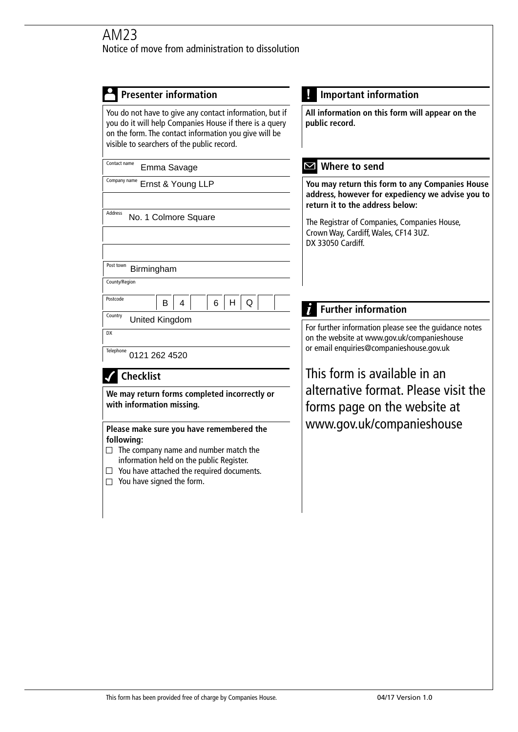| <b>Presenter information</b>                                                                                                                                                                                                               | <b>Important information</b>                                                                                                                     |
|--------------------------------------------------------------------------------------------------------------------------------------------------------------------------------------------------------------------------------------------|--------------------------------------------------------------------------------------------------------------------------------------------------|
| You do not have to give any contact information, but if<br>you do it will help Companies House if there is a query<br>on the form. The contact information you give will be<br>visible to searchers of the public record.                  | All information on this form will appear on the<br>public record.                                                                                |
| Contact name<br>Emma Savage                                                                                                                                                                                                                | Where to send<br>Ⅵ                                                                                                                               |
| Company name<br>Ernst & Young LLP                                                                                                                                                                                                          | You may return this form to any Companies House<br>address, however for expediency we advise you to<br>return it to the address below:           |
| Address<br>No. 1 Colmore Square                                                                                                                                                                                                            | The Registrar of Companies, Companies House,<br>Crown Way, Cardiff, Wales, CF14 3UZ.<br>DX 33050 Cardiff.                                        |
| Post town<br>Birmingham                                                                                                                                                                                                                    |                                                                                                                                                  |
| County/Region                                                                                                                                                                                                                              |                                                                                                                                                  |
| Postcode<br>4<br>6<br>H<br>B<br>Q                                                                                                                                                                                                          | <b>Further information</b>                                                                                                                       |
| Country<br>United Kingdom<br>DX<br>Telephone<br>0121 262 4520                                                                                                                                                                              | For further information please see the guidance notes<br>on the website at www.gov.uk/companieshouse<br>or email enquiries@companieshouse.gov.uk |
| <b>Checklist</b>                                                                                                                                                                                                                           | This form is available in an                                                                                                                     |
| We may return forms completed incorrectly or<br>with information missing.                                                                                                                                                                  | alternative format. Please visit the<br>forms page on the website at                                                                             |
| Please make sure you have remembered the<br>following:<br>$\Box$ The company name and number match the<br>information held on the public Register.<br>$\Box$ You have attached the required documents.<br>$\Box$ You have signed the form. | www.gov.uk/companieshouse                                                                                                                        |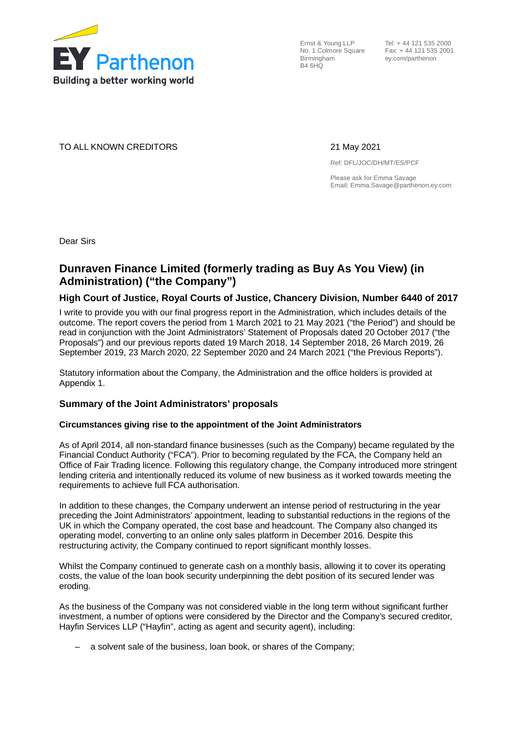

Ernst & Young LLP No. 1 Colmore Square Fax: + 44 121 535 2001 Birmingham B4 6HQ

 Tel: + 44 121 535 2000 ey.com/parthenon

TO ALL KNOWN CREDITORS 21 May 2021

Ref: DFL/JOC/DH/MT/ES/PCF

Please ask for Emma Savage Email: Emma.Savage@parthenon.ey.com

Dear Sirs

# **Dunraven Finance Limited (formerly trading as Buy As You View) (in Administration) ("the Company")**

# **High Court of Justice, Royal Courts of Justice, Chancery Division, Number 6440 of 2017**

I write to provide you with our final progress report in the Administration, which includes details of the outcome. The report covers the period from 1 March 2021 to 21 May 2021 ("the Period") and should be read in conjunction with the Joint Administrators' Statement of Proposals dated 20 October 2017 ("the Proposals") and our previous reports dated 19 March 2018, 14 September 2018, 26 March 2019, 26 September 2019, 23 March 2020, 22 September 2020 and 24 March 2021 ("the Previous Reports").

Statutory information about the Company, the Administration and the office holders is provided at Appendix 1.

# **Summary of the Joint Administrators' proposals**

#### **Circumstances giving rise to the appointment of the Joint Administrators**

As of April 2014, all non-standard finance businesses (such as the Company) became regulated by the Financial Conduct Authority ("FCA"). Prior to becoming regulated by the FCA, the Company held an Office of Fair Trading licence. Following this regulatory change, the Company introduced more stringent lending criteria and intentionally reduced its volume of new business as it worked towards meeting the requirements to achieve full FCA authorisation.

In addition to these changes, the Company underwent an intense period of restructuring in the year preceding the Joint Administrators' appointment, leading to substantial reductions in the regions of the UK in which the Company operated, the cost base and headcount. The Company also changed its operating model, converting to an online only sales platform in December 2016. Despite this restructuring activity, the Company continued to report significant monthly losses.

Whilst the Company continued to generate cash on a monthly basis, allowing it to cover its operating costs, the value of the loan book security underpinning the debt position of its secured lender was eroding.

As the business of the Company was not considered viable in the long term without significant further investment, a number of options were considered by the Director and the Company's secured creditor, Hayfin Services LLP ("Hayfin", acting as agent and security agent), including:

– a solvent sale of the business, loan book, or shares of the Company;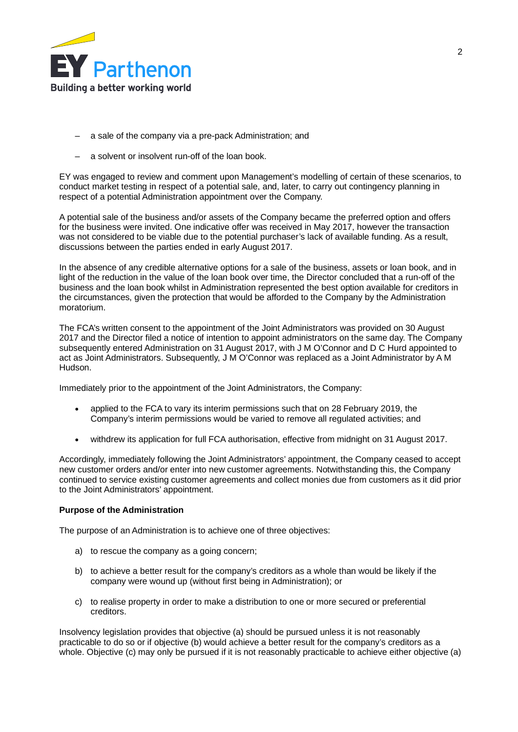

- a sale of the company via a pre-pack Administration; and
- a solvent or insolvent run-off of the loan book.

EY was engaged to review and comment upon Management's modelling of certain of these scenarios, to conduct market testing in respect of a potential sale, and, later, to carry out contingency planning in respect of a potential Administration appointment over the Company.

A potential sale of the business and/or assets of the Company became the preferred option and offers for the business were invited. One indicative offer was received in May 2017, however the transaction was not considered to be viable due to the potential purchaser's lack of available funding. As a result, discussions between the parties ended in early August 2017.

In the absence of any credible alternative options for a sale of the business, assets or loan book, and in light of the reduction in the value of the loan book over time, the Director concluded that a run-off of the business and the loan book whilst in Administration represented the best option available for creditors in the circumstances, given the protection that would be afforded to the Company by the Administration moratorium.

The FCA's written consent to the appointment of the Joint Administrators was provided on 30 August 2017 and the Director filed a notice of intention to appoint administrators on the same day. The Company subsequently entered Administration on 31 August 2017, with J M O'Connor and D C Hurd appointed to act as Joint Administrators. Subsequently, J M O'Connor was replaced as a Joint Administrator by A M Hudson.

Immediately prior to the appointment of the Joint Administrators, the Company:

- applied to the FCA to vary its interim permissions such that on 28 February 2019, the Company's interim permissions would be varied to remove all regulated activities; and
- · withdrew its application for full FCA authorisation, effective from midnight on 31 August 2017.

Accordingly, immediately following the Joint Administrators' appointment, the Company ceased to accept new customer orders and/or enter into new customer agreements. Notwithstanding this, the Company continued to service existing customer agreements and collect monies due from customers as it did prior to the Joint Administrators' appointment.

#### **Purpose of the Administration**

The purpose of an Administration is to achieve one of three objectives:

- a) to rescue the company as a going concern;
- b) to achieve a better result for the company's creditors as a whole than would be likely if the company were wound up (without first being in Administration); or
- c) to realise property in order to make a distribution to one or more secured or preferential creditors.

Insolvency legislation provides that objective (a) should be pursued unless it is not reasonably practicable to do so or if objective (b) would achieve a better result for the company's creditors as a whole. Objective (c) may only be pursued if it is not reasonably practicable to achieve either objective (a)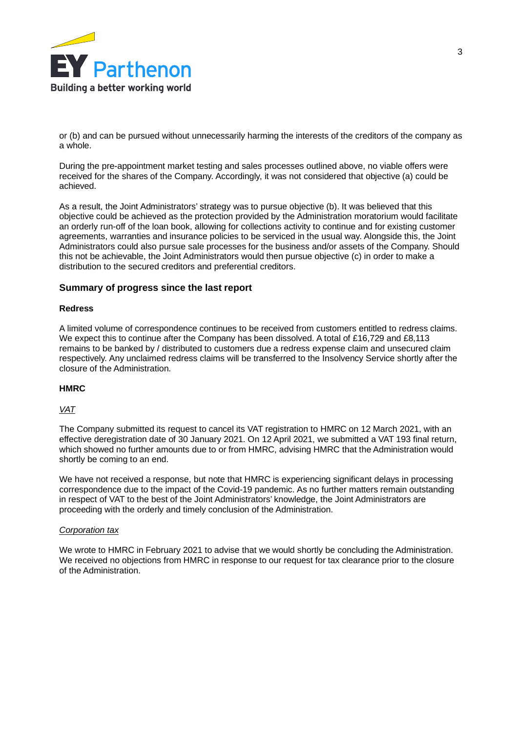

or (b) and can be pursued without unnecessarily harming the interests of the creditors of the company as a whole.

During the pre-appointment market testing and sales processes outlined above, no viable offers were received for the shares of the Company. Accordingly, it was not considered that objective (a) could be achieved.

As a result, the Joint Administrators' strategy was to pursue objective (b). It was believed that this objective could be achieved as the protection provided by the Administration moratorium would facilitate an orderly run-off of the loan book, allowing for collections activity to continue and for existing customer agreements, warranties and insurance policies to be serviced in the usual way. Alongside this, the Joint Administrators could also pursue sale processes for the business and/or assets of the Company. Should this not be achievable, the Joint Administrators would then pursue objective (c) in order to make a distribution to the secured creditors and preferential creditors.

# **Summary of progress since the last report**

### **Redress**

A limited volume of correspondence continues to be received from customers entitled to redress claims. We expect this to continue after the Company has been dissolved. A total of £16,729 and £8,113 remains to be banked by / distributed to customers due a redress expense claim and unsecured claim respectively. Any unclaimed redress claims will be transferred to the Insolvency Service shortly after the closure of the Administration.

#### **HMRC**

### *VAT*

The Company submitted its request to cancel its VAT registration to HMRC on 12 March 2021, with an effective deregistration date of 30 January 2021. On 12 April 2021, we submitted a VAT 193 final return, which showed no further amounts due to or from HMRC, advising HMRC that the Administration would shortly be coming to an end.

We have not received a response, but note that HMRC is experiencing significant delays in processing correspondence due to the impact of the Covid-19 pandemic. As no further matters remain outstanding in respect of VAT to the best of the Joint Administrators' knowledge, the Joint Administrators are proceeding with the orderly and timely conclusion of the Administration.

#### *Corporation tax*

We wrote to HMRC in February 2021 to advise that we would shortly be concluding the Administration. We received no objections from HMRC in response to our request for tax clearance prior to the closure of the Administration.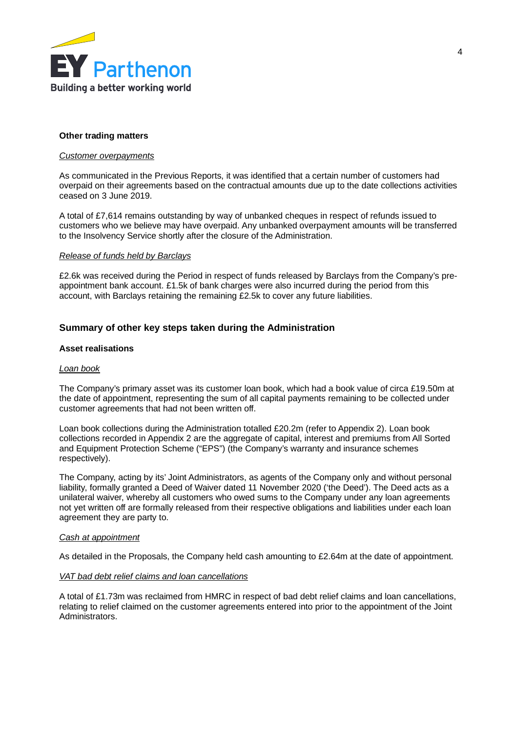

### **Other trading matters**

#### *Customer overpayments*

As communicated in the Previous Reports, it was identified that a certain number of customers had overpaid on their agreements based on the contractual amounts due up to the date collections activities ceased on 3 June 2019.

A total of £7,614 remains outstanding by way of unbanked cheques in respect of refunds issued to customers who we believe may have overpaid. Any unbanked overpayment amounts will be transferred to the Insolvency Service shortly after the closure of the Administration.

#### *Release of funds held by Barclays*

£2.6k was received during the Period in respect of funds released by Barclays from the Company's preappointment bank account. £1.5k of bank charges were also incurred during the period from this account, with Barclays retaining the remaining £2.5k to cover any future liabilities.

# **Summary of other key steps taken during the Administration**

#### **Asset realisations**

### *Loan book*

The Company's primary asset was its customer loan book, which had a book value of circa £19.50m at the date of appointment, representing the sum of all capital payments remaining to be collected under customer agreements that had not been written off.

Loan book collections during the Administration totalled £20.2m (refer to Appendix 2). Loan book collections recorded in Appendix 2 are the aggregate of capital, interest and premiums from All Sorted and Equipment Protection Scheme ("EPS") (the Company's warranty and insurance schemes respectively).

The Company, acting by its' Joint Administrators, as agents of the Company only and without personal liability, formally granted a Deed of Waiver dated 11 November 2020 ('the Deed'). The Deed acts as a unilateral waiver, whereby all customers who owed sums to the Company under any loan agreements not yet written off are formally released from their respective obligations and liabilities under each loan agreement they are party to.

#### *Cash at appointment*

As detailed in the Proposals, the Company held cash amounting to £2.64m at the date of appointment.

#### *VAT bad debt relief claims and loan cancellations*

A total of £1.73m was reclaimed from HMRC in respect of bad debt relief claims and loan cancellations, relating to relief claimed on the customer agreements entered into prior to the appointment of the Joint Administrators.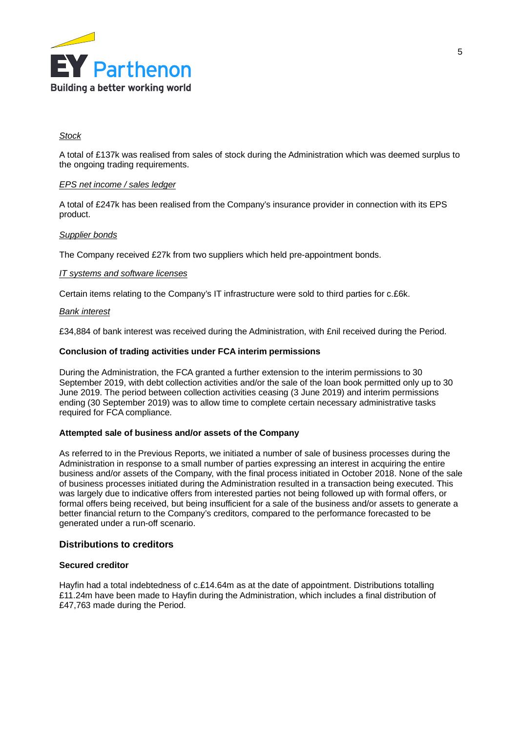

## *Stock*

A total of £137k was realised from sales of stock during the Administration which was deemed surplus to the ongoing trading requirements.

### *EPS net income / sales ledger*

A total of £247k has been realised from the Company's insurance provider in connection with its EPS product.

#### *Supplier bonds*

The Company received £27k from two suppliers which held pre-appointment bonds.

### *IT systems and software licenses*

Certain items relating to the Company's IT infrastructure were sold to third parties for c.£6k.

#### *Bank interest*

£34,884 of bank interest was received during the Administration, with £nil received during the Period.

### **Conclusion of trading activities under FCA interim permissions**

During the Administration, the FCA granted a further extension to the interim permissions to 30 September 2019, with debt collection activities and/or the sale of the loan book permitted only up to 30 June 2019. The period between collection activities ceasing (3 June 2019) and interim permissions ending (30 September 2019) was to allow time to complete certain necessary administrative tasks required for FCA compliance.

#### **Attempted sale of business and/or assets of the Company**

As referred to in the Previous Reports, we initiated a number of sale of business processes during the Administration in response to a small number of parties expressing an interest in acquiring the entire business and/or assets of the Company, with the final process initiated in October 2018. None of the sale of business processes initiated during the Administration resulted in a transaction being executed. This was largely due to indicative offers from interested parties not being followed up with formal offers, or formal offers being received, but being insufficient for a sale of the business and/or assets to generate a better financial return to the Company's creditors, compared to the performance forecasted to be generated under a run-off scenario.

# **Distributions to creditors**

## **Secured creditor**

Hayfin had a total indebtedness of c.£14.64m as at the date of appointment. Distributions totalling £11.24m have been made to Hayfin during the Administration, which includes a final distribution of £47,763 made during the Period.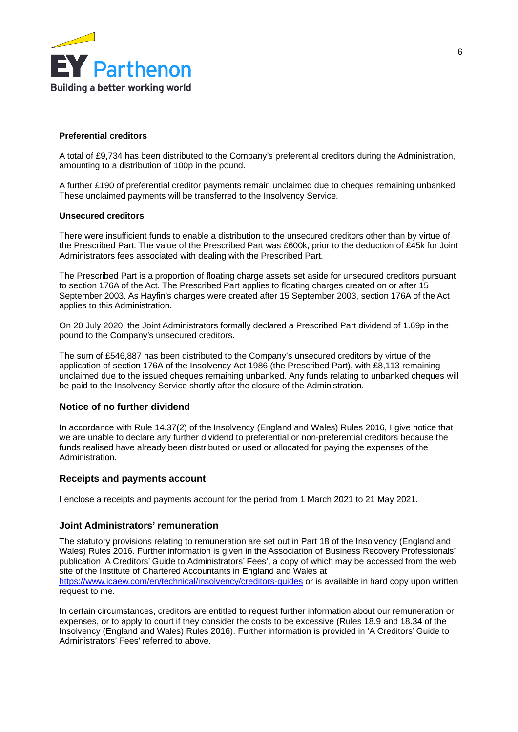

### **Preferential creditors**

A total of £9,734 has been distributed to the Company's preferential creditors during the Administration, amounting to a distribution of 100p in the pound.

A further £190 of preferential creditor payments remain unclaimed due to cheques remaining unbanked. These unclaimed payments will be transferred to the Insolvency Service.

### **Unsecured creditors**

There were insufficient funds to enable a distribution to the unsecured creditors other than by virtue of the Prescribed Part. The value of the Prescribed Part was £600k, prior to the deduction of £45k for Joint Administrators fees associated with dealing with the Prescribed Part.

The Prescribed Part is a proportion of floating charge assets set aside for unsecured creditors pursuant to section 176A of the Act. The Prescribed Part applies to floating charges created on or after 15 September 2003. As Hayfin's charges were created after 15 September 2003, section 176A of the Act applies to this Administration.

On 20 July 2020, the Joint Administrators formally declared a Prescribed Part dividend of 1.69p in the pound to the Company's unsecured creditors.

The sum of £546,887 has been distributed to the Company's unsecured creditors by virtue of the application of section 176A of the Insolvency Act 1986 (the Prescribed Part), with £8,113 remaining unclaimed due to the issued cheques remaining unbanked. Any funds relating to unbanked cheques will be paid to the Insolvency Service shortly after the closure of the Administration.

#### **Notice of no further dividend**

In accordance with Rule 14.37(2) of the Insolvency (England and Wales) Rules 2016, I give notice that we are unable to declare any further dividend to preferential or non-preferential creditors because the funds realised have already been distributed or used or allocated for paying the expenses of the Administration.

#### **Receipts and payments account**

I enclose a receipts and payments account for the period from 1 March 2021 to 21 May 2021.

#### **Joint Administrators' remuneration**

The statutory provisions relating to remuneration are set out in Part 18 of the Insolvency (England and Wales) Rules 2016. Further information is given in the Association of Business Recovery Professionals' publication 'A Creditors' Guide to Administrators' Fees', a copy of which may be accessed from the web site of the Institute of Chartered Accountants in England and Wales at <https://www.icaew.com/en/technical/insolvency/creditors-guides> or is available in hard copy upon written request to me.

In certain circumstances, creditors are entitled to request further information about our remuneration or expenses, or to apply to court if they consider the costs to be excessive (Rules 18.9 and 18.34 of the Insolvency (England and Wales) Rules 2016). Further information is provided in 'A Creditors' Guide to Administrators' Fees' referred to above.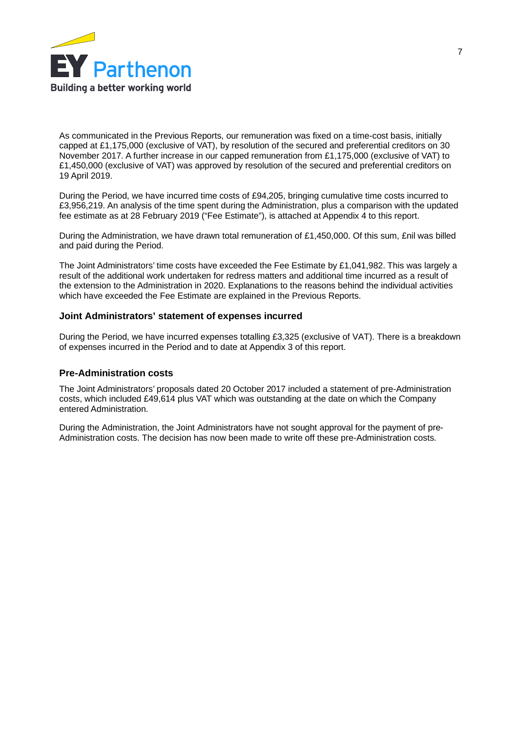

As communicated in the Previous Reports, our remuneration was fixed on a time-cost basis, initially capped at £1,175,000 (exclusive of VAT), by resolution of the secured and preferential creditors on 30 November 2017. A further increase in our capped remuneration from £1,175,000 (exclusive of VAT) to £1,450,000 (exclusive of VAT) was approved by resolution of the secured and preferential creditors on 19 April 2019.

During the Period, we have incurred time costs of £94,205, bringing cumulative time costs incurred to £3,956,219. An analysis of the time spent during the Administration, plus a comparison with the updated fee estimate as at 28 February 2019 ("Fee Estimate"), is attached at Appendix 4 to this report.

During the Administration, we have drawn total remuneration of £1,450,000. Of this sum, £nil was billed and paid during the Period.

The Joint Administrators' time costs have exceeded the Fee Estimate by £1,041,982. This was largely a result of the additional work undertaken for redress matters and additional time incurred as a result of the extension to the Administration in 2020. Explanations to the reasons behind the individual activities which have exceeded the Fee Estimate are explained in the Previous Reports.

### **Joint Administrators' statement of expenses incurred**

During the Period, we have incurred expenses totalling £3,325 (exclusive of VAT). There is a breakdown of expenses incurred in the Period and to date at Appendix 3 of this report.

#### **Pre-Administration costs**

The Joint Administrators' proposals dated 20 October 2017 included a statement of pre-Administration costs, which included £49,614 plus VAT which was outstanding at the date on which the Company entered Administration.

During the Administration, the Joint Administrators have not sought approval for the payment of pre-Administration costs. The decision has now been made to write off these pre-Administration costs.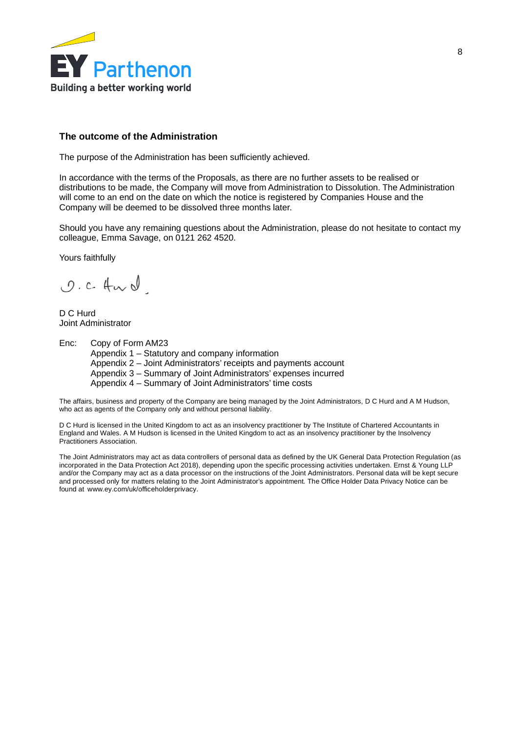

# **The outcome of the Administration**

The purpose of the Administration has been sufficiently achieved.

In accordance with the terms of the Proposals, as there are no further assets to be realised or distributions to be made, the Company will move from Administration to Dissolution. The Administration will come to an end on the date on which the notice is registered by Companies House and the Company will be deemed to be dissolved three months later.

Should you have any remaining questions about the Administration, please do not hesitate to contact my colleague, Emma Savage, on 0121 262 4520.

Yours faithfully

O.C. Hurd

D C Hurd Joint Administrator

Enc: Copy of Form AM23

Appendix 1 – Statutory and company information Appendix 2 – Joint Administrators' receipts and payments account Appendix 3 – Summary of Joint Administrators' expenses incurred Appendix 4 – Summary of Joint Administrators' time costs

The affairs, business and property of the Company are being managed by the Joint Administrators, D C Hurd and A M Hudson, who act as agents of the Company only and without personal liability.

D C Hurd is licensed in the United Kingdom to act as an insolvency practitioner by The Institute of Chartered Accountants in England and Wales. A M Hudson is licensed in the United Kingdom to act as an insolvency practitioner by the Insolvency Practitioners Association.

The Joint Administrators may act as data controllers of personal data as defined by the UK General Data Protection Regulation (as incorporated in the Data Protection Act 2018), depending upon the specific processing activities undertaken. Ernst & Young LLP and/or the Company may act as a data processor on the instructions of the Joint Administrators. Personal data will be kept secure and processed only for matters relating to the Joint Administrator's appointment. The Office Holder Data Privacy Notice can be found at www.ey.com/uk/officeholderprivacy.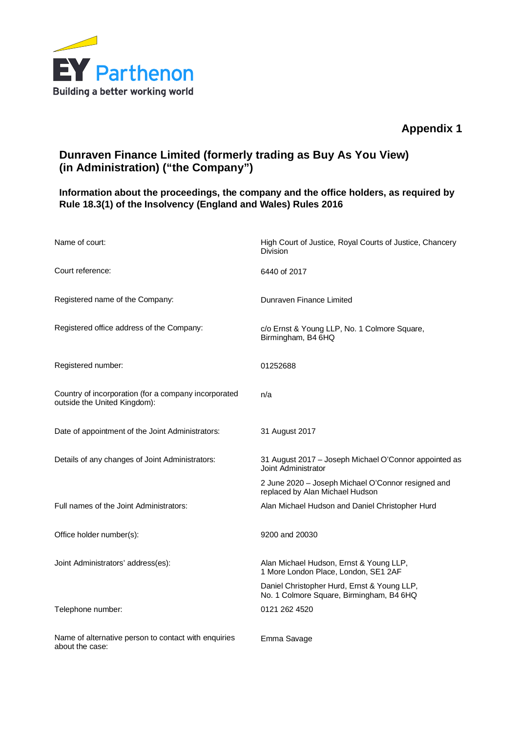

# **Appendix 1**

# **Dunraven Finance Limited (formerly trading as Buy As You View) (in Administration) ("the Company")**

# **Information about the proceedings, the company and the office holders, as required by Rule 18.3(1) of the Insolvency (England and Wales) Rules 2016**

| Name of court:                                                                       | High Court of Justice, Royal Courts of Justice, Chancery<br>Division                    |
|--------------------------------------------------------------------------------------|-----------------------------------------------------------------------------------------|
| Court reference:                                                                     | 6440 of 2017                                                                            |
| Registered name of the Company:                                                      | Dunraven Finance Limited                                                                |
| Registered office address of the Company:                                            | c/o Ernst & Young LLP, No. 1 Colmore Square,<br>Birmingham, B4 6HQ                      |
| Registered number:                                                                   | 01252688                                                                                |
| Country of incorporation (for a company incorporated<br>outside the United Kingdom): | n/a                                                                                     |
| Date of appointment of the Joint Administrators:                                     | 31 August 2017                                                                          |
| Details of any changes of Joint Administrators:                                      | 31 August 2017 - Joseph Michael O'Connor appointed as<br>Joint Administrator            |
|                                                                                      | 2 June 2020 - Joseph Michael O'Connor resigned and<br>replaced by Alan Michael Hudson   |
| Full names of the Joint Administrators:                                              | Alan Michael Hudson and Daniel Christopher Hurd                                         |
| Office holder number(s):                                                             | 9200 and 20030                                                                          |
| Joint Administrators' address(es):                                                   | Alan Michael Hudson, Ernst & Young LLP,<br>1 More London Place, London, SE1 2AF         |
|                                                                                      | Daniel Christopher Hurd, Ernst & Young LLP,<br>No. 1 Colmore Square, Birmingham, B4 6HQ |
| Telephone number:                                                                    | 0121 262 4520                                                                           |
| Name of alternative person to contact with enquiries<br>about the case:              | Emma Savage                                                                             |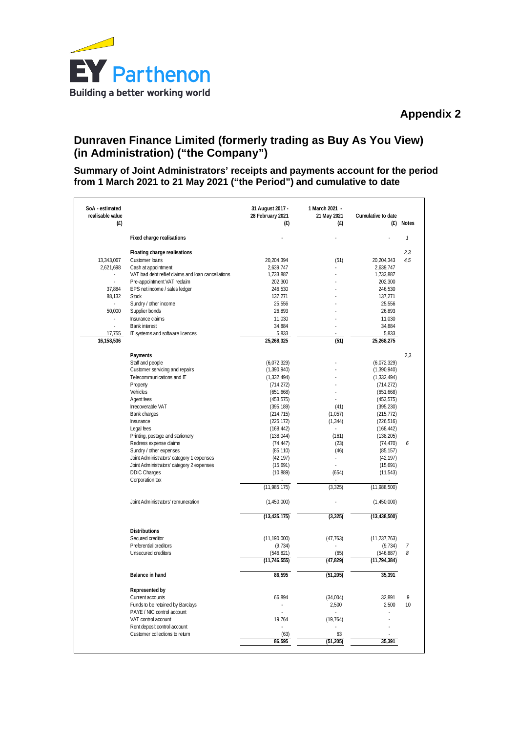

# **Dunraven Finance Limited (formerly trading as Buy As You View) (in Administration) ("the Company")**

**Summary of Joint Administrators' receipts and payments account for the period from 1 March 2021 to 21 May 2021 ("the Period") and cumulative to date**

| SoA - estimated<br>realisable value<br>(E) |                                                    | 31 August 2017 -<br>28 February 2021<br>(f) | 1 March 2021 -<br>21 May 2021<br>(f) | Cumulative to date<br>(E) | <b>Notes</b>   |
|--------------------------------------------|----------------------------------------------------|---------------------------------------------|--------------------------------------|---------------------------|----------------|
|                                            | Fixed charge realisations                          |                                             |                                      |                           | $\mathbf{1}$   |
|                                            | Floating charge realisations                       |                                             |                                      |                           | 2,3            |
| 13,343,067                                 | Customer loans                                     | 20,204,394                                  | (51)                                 | 20,204,343                | 4,5            |
| 2,621,698                                  | Cash at appointment                                | 2,639,747                                   |                                      | 2,639,747                 |                |
|                                            | VAT bad debt reflief claims and loan cancellations | 1,733,887                                   |                                      | 1,733,887                 |                |
|                                            | Pre-appointment VAT reclaim                        | 202,300                                     |                                      | 202,300                   |                |
| 37,884                                     | EPS net income / sales ledger                      | 246,530                                     |                                      | 246,530                   |                |
| 88,132                                     | <b>Stock</b>                                       | 137,271                                     |                                      | 137,271                   |                |
| $\sim$                                     | Sundry / other income                              | 25,556                                      |                                      | 25,556                    |                |
| 50,000                                     | Supplier bonds                                     | 26,893                                      |                                      | 26,893                    |                |
|                                            | Insurance claims                                   | 11,030                                      |                                      | 11,030                    |                |
| $\overline{a}$                             | <b>Bank interest</b>                               | 34,884                                      |                                      | 34,884                    |                |
| 17,755                                     | IT systems and software licences                   | 5,833                                       |                                      | 5,833                     |                |
| 16,158,536                                 |                                                    | 25,268,325                                  | (51)                                 | 25,268,275                |                |
|                                            | Payments                                           |                                             |                                      |                           | 2,3            |
|                                            | Staff and people                                   | (6,072,329)                                 |                                      | (6,072,329)               |                |
|                                            | Customer servicing and repairs                     | (1,390,940)                                 |                                      | (1,390,940)               |                |
|                                            | Telecommunications and IT                          | (1, 332, 494)                               |                                      | (1, 332, 494)             |                |
|                                            | Property                                           | (714, 272)                                  |                                      | (714, 272)                |                |
|                                            | Vehicles                                           | (651, 668)                                  |                                      | (651, 668)                |                |
|                                            | Agent fees                                         | (453, 575)                                  |                                      | (453, 575)                |                |
|                                            | Irrecoverable VAT                                  | (395, 189)                                  | (41)                                 | (395, 230)                |                |
|                                            | <b>Bank charges</b>                                | (214, 715)                                  | (1,057)                              | (215, 772)                |                |
|                                            | Insurance                                          | (225, 172)                                  | (1, 344)                             | (226, 516)                |                |
|                                            | Legal fees                                         | (168, 442)                                  | ä,                                   | (168, 442)                |                |
|                                            | Printing, postage and stationery                   | (138, 044)                                  | (161)                                | (138, 205)                |                |
|                                            | Redress expense claims                             | (74, 447)                                   | (23)                                 | (74, 470)                 | 6              |
|                                            | Sundry / other expenses                            | (85, 110)                                   | (46)                                 | (85, 157)                 |                |
|                                            | Joint Administrators' category 1 expenses          | (42, 197)                                   |                                      | (42, 197)                 |                |
|                                            | Joint Administrators' category 2 expenses          | (15,691)                                    |                                      | (15,691)                  |                |
|                                            | <b>DDIC Charges</b>                                | (10, 889)                                   | (654)                                | (11, 543)                 |                |
|                                            | Corporation tax                                    | (11,985,175)                                | (3, 325)                             | (11,988,500)              |                |
|                                            |                                                    |                                             |                                      |                           |                |
|                                            | Joint Administrators' remuneration                 | (1,450,000)                                 |                                      | (1,450,000)               |                |
|                                            |                                                    | (13, 435, 175)                              | (3, 325)                             | (13, 438, 500)            |                |
|                                            | <b>Distributions</b>                               |                                             |                                      |                           |                |
|                                            | Secured creditor                                   | (11, 190, 000)                              | (47, 763)                            | (11, 237, 763)            |                |
|                                            | Preferential creditors                             | (9, 734)                                    |                                      | (9, 734)                  | $\overline{7}$ |
|                                            | Unsecured creditors                                | (546, 821)                                  | (65)                                 | (546, 887)                | 8              |
|                                            |                                                    | (11, 746, 555)                              | (47, 829)                            | (11, 794, 384)            |                |
|                                            | Balance in hand                                    | 86,595                                      | (51, 205)                            | 35,391                    |                |
|                                            |                                                    |                                             |                                      |                           |                |
|                                            | Represented by                                     |                                             |                                      |                           |                |
|                                            | Current accounts                                   | 66.894                                      | (34,004)                             | 32.891                    | 9              |
|                                            | Funds to be retained by Barclays                   |                                             | 2,500                                | 2,500                     | 10             |
|                                            | PAYE / NIC control account                         |                                             |                                      |                           |                |
|                                            | VAT control account                                | 19,764                                      | (19, 764)                            |                           |                |
|                                            | Rent deposit control account                       |                                             |                                      |                           |                |
|                                            | Customer collections to return                     | (63)                                        | 63                                   |                           |                |
|                                            |                                                    | 86,595                                      | (51, 205)                            | 35,391                    |                |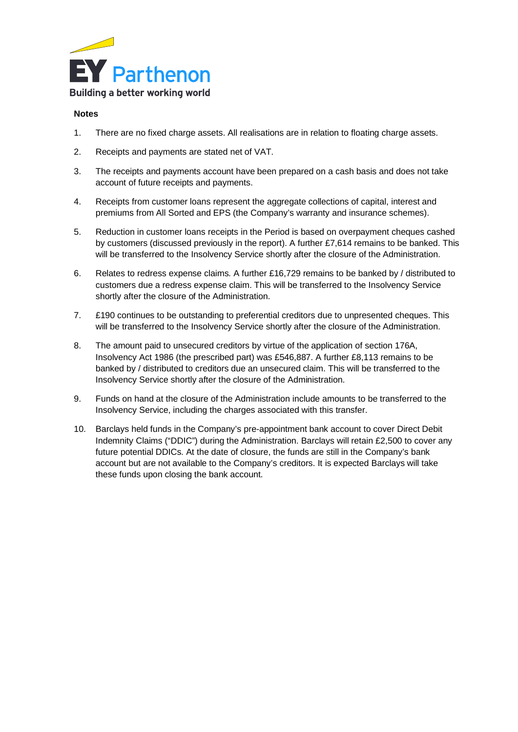

# **Notes**

- 1. There are no fixed charge assets. All realisations are in relation to floating charge assets.
- 2. Receipts and payments are stated net of VAT.
- 3. The receipts and payments account have been prepared on a cash basis and does not take account of future receipts and payments.
- 4. Receipts from customer loans represent the aggregate collections of capital, interest and premiums from All Sorted and EPS (the Company's warranty and insurance schemes).
- 5. Reduction in customer loans receipts in the Period is based on overpayment cheques cashed by customers (discussed previously in the report). A further £7,614 remains to be banked. This will be transferred to the Insolvency Service shortly after the closure of the Administration.
- 6. Relates to redress expense claims. A further £16,729 remains to be banked by / distributed to customers due a redress expense claim. This will be transferred to the Insolvency Service shortly after the closure of the Administration.
- 7. £190 continues to be outstanding to preferential creditors due to unpresented cheques. This will be transferred to the Insolvency Service shortly after the closure of the Administration.
- 8. The amount paid to unsecured creditors by virtue of the application of section 176A, Insolvency Act 1986 (the prescribed part) was £546,887. A further £8,113 remains to be banked by / distributed to creditors due an unsecured claim. This will be transferred to the Insolvency Service shortly after the closure of the Administration.
- 9. Funds on hand at the closure of the Administration include amounts to be transferred to the Insolvency Service, including the charges associated with this transfer.
- 10. Barclays held funds in the Company's pre-appointment bank account to cover Direct Debit Indemnity Claims ("DDIC") during the Administration. Barclays will retain £2,500 to cover any future potential DDICs. At the date of closure, the funds are still in the Company's bank account but are not available to the Company's creditors. It is expected Barclays will take these funds upon closing the bank account.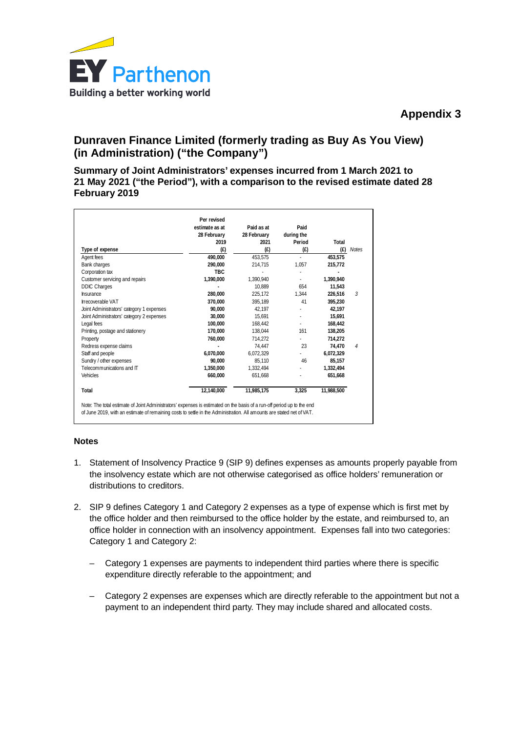

# **Dunraven Finance Limited (formerly trading as Buy As You View) (in Administration) ("the Company")**

**Summary of Joint Administrators' expenses incurred from 1 March 2021 to 21 May 2021 ("the Period"), with a comparison to the revised estimate dated 28 February 2019**

|                                           | Per revised    |             |                |            |              |
|-------------------------------------------|----------------|-------------|----------------|------------|--------------|
|                                           | estimate as at | Paid as at  | Paid           |            |              |
|                                           | 28 February    | 28 February | during the     |            |              |
|                                           | 2019           | 2021        | Period         | Total      |              |
| Type of expense                           | (f)            | (f)         | (f)            | (E)        | <b>Notes</b> |
| Agent fees                                | 490,000        | 453,575     | ÷.             | 453,575    |              |
| Bank charges                              | 290,000        | 214,715     | 1,057          | 215,772    |              |
| Corporation tax                           | <b>TBC</b>     |             |                |            |              |
| Customer servicing and repairs            | 1,390,000      | 1,390,940   |                | 1.390.940  |              |
| <b>DDIC Charges</b>                       |                | 10.889      | 654            | 11.543     |              |
| <b>Insurance</b>                          | 280,000        | 225,172     | 1.344          | 226.516    | 3            |
| <b>Irrecoverable VAT</b>                  | 370.000        | 395.189     | 41             | 395.230    |              |
| Joint Administrators' category 1 expenses | 90,000         | 42,197      |                | 42,197     |              |
| Joint Administrators' category 2 expenses | 30.000         | 15.691      |                | 15.691     |              |
| Legal fees                                | 100.000        | 168.442     | $\blacksquare$ | 168.442    |              |
| Printing, postage and stationery          | 170.000        | 138.044     | 161            | 138.205    |              |
| Property                                  | 760,000        | 714.272     |                | 714.272    |              |
| Redress expense claims                    |                | 74,447      | 23             | 74.470     | 4            |
| Staff and people                          | 6.070.000      | 6,072,329   |                | 6,072,329  |              |
| Sundry / other expenses                   | 90.000         | 85.110      | 46             | 85,157     |              |
| Telecommunications and IT                 | 1.350.000      | 1.332.494   |                | 1,332,494  |              |
| <b>Vehicles</b>                           | 660,000        | 651,668     |                | 651,668    |              |
| Total                                     | 12.140.000     | 11,985,175  | 3.325          | 11.988.500 |              |

# **Notes**

- 1. Statement of Insolvency Practice 9 (SIP 9) defines expenses as amounts properly payable from the insolvency estate which are not otherwise categorised as office holders' remuneration or distributions to creditors.
- 2. SIP 9 defines Category 1 and Category 2 expenses as a type of expense which is first met by the office holder and then reimbursed to the office holder by the estate, and reimbursed to, an office holder in connection with an insolvency appointment. Expenses fall into two categories: Category 1 and Category 2:
	- Category 1 expenses are payments to independent third parties where there is specific expenditure directly referable to the appointment; and
	- Category 2 expenses are expenses which are directly referable to the appointment but not a payment to an independent third party. They may include shared and allocated costs.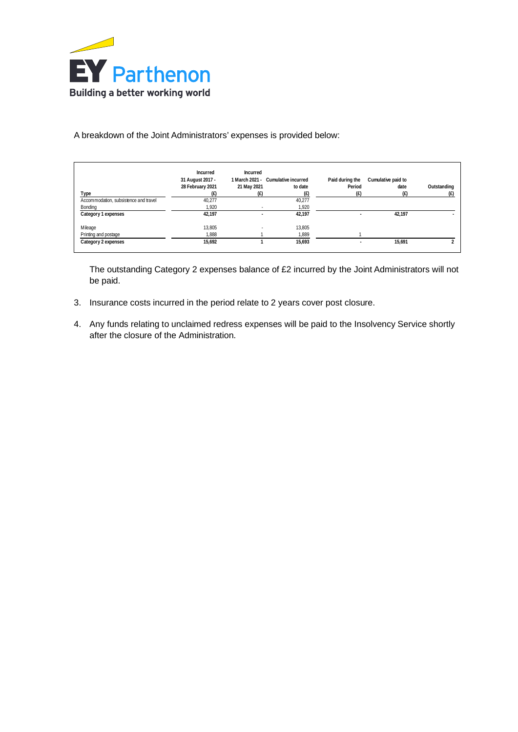

# A breakdown of the Joint Administrators' expenses is provided below:

|                                       | Incurred<br>31 August 2017 - | Incurred                 | 1 March 2021 - Cumulative incurred | Paid during the          | Cumulative paid to |             |
|---------------------------------------|------------------------------|--------------------------|------------------------------------|--------------------------|--------------------|-------------|
|                                       | 28 February 2021             | 21 May 2021              | to date                            | Period                   | date               | Outstanding |
| Type                                  |                              | E)                       |                                    | (£)                      | (E                 |             |
| Accommodation, subsistence and travel | 40,277                       |                          | 40,277                             |                          |                    |             |
| Bonding                               | 1,920                        | $\overline{\phantom{a}}$ | 1,920                              |                          |                    |             |
| Category 1 expenses                   | 42.197                       | ۰                        | 42.197                             | $\overline{\phantom{a}}$ | 42,197             |             |
| Mileage                               | 13.805                       | $\blacksquare$           | 13.805                             |                          |                    |             |
| Printing and postage                  | 1.888                        |                          | 1.889                              |                          |                    |             |
| Category 2 expenses                   | 15,692                       |                          | 15.693                             | $\overline{\phantom{a}}$ | 15,691             |             |

The outstanding Category 2 expenses balance of £2 incurred by the Joint Administrators will not be paid.

- 3. Insurance costs incurred in the period relate to 2 years cover post closure.
- 4. Any funds relating to unclaimed redress expenses will be paid to the Insolvency Service shortly after the closure of the Administration.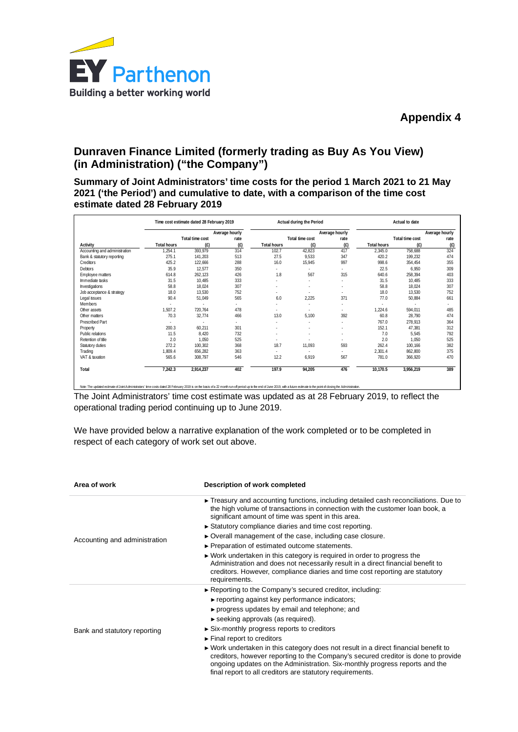

# **Dunraven Finance Limited (formerly trading as Buy As You View) (in Administration) ("the Company")**

**Summary of Joint Administrators' time costs for the period 1 March 2021 to 21 May 2021 ('the Period') and cumulative to date, with a comparison of the time cost estimate dated 28 February 2019**

|                               |                    | Time cost estimate dated 28 February 2019 |                |                          | Actual during the Period |                          |                    | Actual to date           |                |
|-------------------------------|--------------------|-------------------------------------------|----------------|--------------------------|--------------------------|--------------------------|--------------------|--------------------------|----------------|
|                               |                    |                                           | Average hourly |                          |                          | Average hourly           |                    |                          | Average hourly |
|                               |                    | Total time cost                           | rate           |                          | Total time cost          | rate                     |                    | Total time cost          | rate           |
| Activity                      | <b>Total hours</b> | (E)                                       | (f)            | Total hours              | (E)                      | (E)                      | <b>Total hours</b> | (E)                      | (E)            |
| Accounting and administration | 1,254.1            | 393,979                                   | 314            | 102.7                    | 42,823                   | 417                      | 2,345.0            | 758,688                  | 324            |
| Bank & statutory reporting    | 275.1              | 141,203                                   | 513            | 27.5                     | 9,533                    | 347                      | 420.2              | 199,232                  | 474            |
| Creditors                     | 425.2              | 122,666                                   | 288            | 16.0                     | 15,945                   | 997                      | 998.6              | 354,454                  | 355            |
| <b>Debtors</b>                | 35.9               | 12,577                                    | 350            | $\sim$                   |                          | $\overline{\phantom{a}}$ | 22.5               | 6.950                    | 309            |
| Employee matters              | 614.8              | 262,123                                   | 426            | 1.8                      | 567                      | 315                      | 640.6              | 258,394                  | 403            |
| Immediate tasks               | 31.5               | 10,485                                    | 333            |                          |                          | $\overline{\phantom{a}}$ | 31.5               | 10,485                   | 333            |
| Investigations                | 58.8               | 18,024                                    | 307            |                          |                          |                          | 58.8               | 18,024                   | 307            |
| Job acceptance & strategy     | 18.0               | 13,530                                    | 752            | $\overline{\phantom{a}}$ | $\overline{\phantom{a}}$ |                          | 18.0               | 13,530                   | 752            |
| Legal issues                  | 90.4               | 51,049                                    | 565            | 6.0                      | 2,225                    | 371                      | 77.0               | 50,884                   | 661            |
| Members                       |                    | ÷                                         | ÷              | $\sim$                   | $\overline{a}$           | $\overline{\phantom{a}}$ |                    | $\overline{\phantom{a}}$ |                |
| Other assets                  | 1.507.2            | 720.764                                   | 478            | $\sim$                   | $\overline{\phantom{a}}$ | $\overline{\phantom{a}}$ | 1,224.6            | 594.011                  | 485            |
| Other matters                 | 70.3               | 32,774                                    | 466            | 13.0                     | 5,100                    | 392                      | 60.8               | 28,790                   | 474            |
| <b>Prescribed Part</b>        |                    | $\overline{\phantom{a}}$                  | ٠              | ÷                        | $\overline{\phantom{a}}$ | ۰                        | 767.0              | 278,913                  | 364            |
| Property                      | 200.3              | 60,211                                    | 301            |                          |                          | $\overline{\phantom{a}}$ | 152.1              | 47,381                   | 312            |
| Public relations              | 11.5               | 8,420                                     | 732            |                          |                          | $\overline{\phantom{a}}$ | 7.0                | 5,545                    | 792            |
| Retention of title            | 2.0                | 1,050                                     | 525            | $\overline{\phantom{a}}$ |                          | $\overline{\phantom{a}}$ | 2.0                | 1,050                    | 525            |
| Statutory duties              | 272.2              | 100,302                                   | 368            | 18.7                     | 11,093                   | 593                      | 262.4              | 100.166                  | 382            |
| Trading                       | 1.809.4            | 656,282                                   | 363            | $\sim$                   |                          | $\overline{\phantom{a}}$ | 2,301.4            | 862,800                  | 375            |
| VAT & taxation                | 565.6              | 308,797                                   | 546            | 12.2                     | 6,919                    | 567                      | 781.0              | 366,920                  | 470            |
| Total                         | 7,242.3            | 2,914,237                                 | 402            | 197.9                    | 94,205                   | 476                      | 10.170.5           | 3,956,219                | 389            |

Note: The updated estimate of Joint Administrators' fine costs dated 28 February 2019 is on the basis of a 22 month run of period up to free red of June 2019, with a future estimate to the point of closing the Administrati

The Joint Administrators' time cost estimate was updated as at 28 February 2019, to reflect the operational trading period continuing up to June 2019.

We have provided below a narrative explanation of the work completed or to be completed in respect of each category of work set out above.

| Area of work                  | Description of work completed                                                                                                                                                                                                                                                                                        |
|-------------------------------|----------------------------------------------------------------------------------------------------------------------------------------------------------------------------------------------------------------------------------------------------------------------------------------------------------------------|
|                               | $\triangleright$ Treasury and accounting functions, including detailed cash reconciliations. Due to<br>the high volume of transactions in connection with the customer loan book, a<br>significant amount of time was spent in this area.                                                                            |
|                               | Statutory compliance diaries and time cost reporting.                                                                                                                                                                                                                                                                |
| Accounting and administration | ► Overall management of the case, including case closure.                                                                                                                                                                                                                                                            |
|                               | ► Preparation of estimated outcome statements.                                                                                                                                                                                                                                                                       |
|                               | $\triangleright$ Work undertaken in this category is required in order to progress the<br>Administration and does not necessarily result in a direct financial benefit to<br>creditors. However, compliance diaries and time cost reporting are statutory<br>requirements.                                           |
|                               | $\triangleright$ Reporting to the Company's secured creditor, including:                                                                                                                                                                                                                                             |
|                               | reporting against key performance indicators;                                                                                                                                                                                                                                                                        |
|                               | ► progress updates by email and telephone; and                                                                                                                                                                                                                                                                       |
|                               | $\triangleright$ seeking approvals (as required).                                                                                                                                                                                                                                                                    |
| Bank and statutory reporting  | $\triangleright$ Six-monthly progress reports to creditors                                                                                                                                                                                                                                                           |
|                               | $\blacktriangleright$ Final report to creditors                                                                                                                                                                                                                                                                      |
|                               | ► Work undertaken in this category does not result in a direct financial benefit to<br>creditors, however reporting to the Company's secured creditor is done to provide<br>ongoing updates on the Administration. Six-monthly progress reports and the<br>final report to all creditors are statutory requirements. |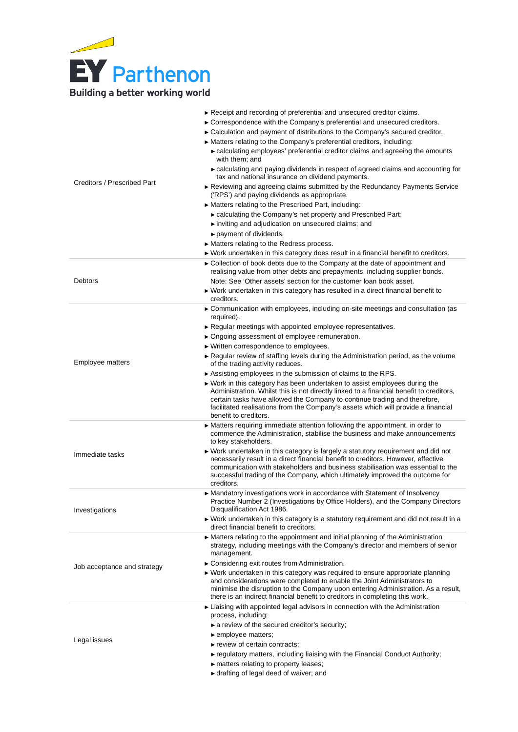

| Creditors / Prescribed Part | $\blacktriangleright$ Receipt and recording of preferential and unsecured creditor claims.<br>► Correspondence with the Company's preferential and unsecured creditors.<br>► Calculation and payment of distributions to the Company's secured creditor.<br>► Matters relating to the Company's preferential creditors, including:<br>► calculating employees' preferential creditor claims and agreeing the amounts<br>with them: and<br>► calculating and paying dividends in respect of agreed claims and accounting for<br>tax and national insurance on dividend payments.<br>► Reviewing and agreeing claims submitted by the Redundancy Payments Service<br>('RPS') and paying dividends as appropriate.<br>Matters relating to the Prescribed Part, including:<br>► calculating the Company's net property and Prescribed Part;<br>inviting and adjudication on unsecured claims; and<br>payment of dividends.<br>► Matters relating to the Redress process.<br>► Work undertaken in this category does result in a financial benefit to creditors. |
|-----------------------------|-------------------------------------------------------------------------------------------------------------------------------------------------------------------------------------------------------------------------------------------------------------------------------------------------------------------------------------------------------------------------------------------------------------------------------------------------------------------------------------------------------------------------------------------------------------------------------------------------------------------------------------------------------------------------------------------------------------------------------------------------------------------------------------------------------------------------------------------------------------------------------------------------------------------------------------------------------------------------------------------------------------------------------------------------------------|
| Debtors                     | ► Collection of book debts due to the Company at the date of appointment and<br>realising value from other debts and prepayments, including supplier bonds.<br>Note: See 'Other assets' section for the customer loan book asset.<br>► Work undertaken in this category has resulted in a direct financial benefit to                                                                                                                                                                                                                                                                                                                                                                                                                                                                                                                                                                                                                                                                                                                                       |
|                             | creditors.<br>► Communication with employees, including on-site meetings and consultation (as                                                                                                                                                                                                                                                                                                                                                                                                                                                                                                                                                                                                                                                                                                                                                                                                                                                                                                                                                               |
| Employee matters            | required).<br>Regular meetings with appointed employee representatives.<br>▶ Ongoing assessment of employee remuneration.<br>▶ Written correspondence to employees.<br>► Regular review of staffing levels during the Administration period, as the volume<br>of the trading activity reduces.<br>Assisting employees in the submission of claims to the RPS.<br>► Work in this category has been undertaken to assist employees during the<br>Administration. Whilst this is not directly linked to a financial benefit to creditors,<br>certain tasks have allowed the Company to continue trading and therefore,<br>facilitated realisations from the Company's assets which will provide a financial<br>benefit to creditors.                                                                                                                                                                                                                                                                                                                           |
| Immediate tasks             | • Matters requiring immediate attention following the appointment, in order to<br>commence the Administration, stabilise the business and make announcements<br>to key stakeholders.<br>► Work undertaken in this category is largely a statutory requirement and did not<br>necessarily result in a direct financial benefit to creditors. However, effective<br>communication with stakeholders and business stabilisation was essential to the<br>successful trading of the Company, which ultimately improved the outcome for<br>creditors.                                                                                                                                                                                                                                                                                                                                                                                                                                                                                                             |
| Investigations              | $\blacktriangleright$ Mandatory investigations work in accordance with Statement of Insolvency<br>Practice Number 2 (Investigations by Office Holders), and the Company Directors<br>Disqualification Act 1986.<br>$\blacktriangleright$ Work undertaken in this category is a statutory requirement and did not result in a<br>direct financial benefit to creditors.                                                                                                                                                                                                                                                                                                                                                                                                                                                                                                                                                                                                                                                                                      |
| Job acceptance and strategy | • Matters relating to the appointment and initial planning of the Administration<br>strategy, including meetings with the Company's director and members of senior<br>management.<br>$\triangleright$ Considering exit routes from Administration.<br>$\triangleright$ Work undertaken in this category was required to ensure appropriate planning<br>and considerations were completed to enable the Joint Administrators to<br>minimise the disruption to the Company upon entering Administration. As a result,<br>there is an indirect financial benefit to creditors in completing this work.                                                                                                                                                                                                                                                                                                                                                                                                                                                         |
| Legal issues                | Liaising with appointed legal advisors in connection with the Administration<br>process, including:<br>$\triangleright$ a review of the secured creditor's security;<br>$\blacktriangleright$ employee matters;<br>$\blacktriangleright$ review of certain contracts;<br>► regulatory matters, including liaising with the Financial Conduct Authority;<br>$\blacktriangleright$ matters relating to property leases;<br>► drafting of legal deed of waiver; and                                                                                                                                                                                                                                                                                                                                                                                                                                                                                                                                                                                            |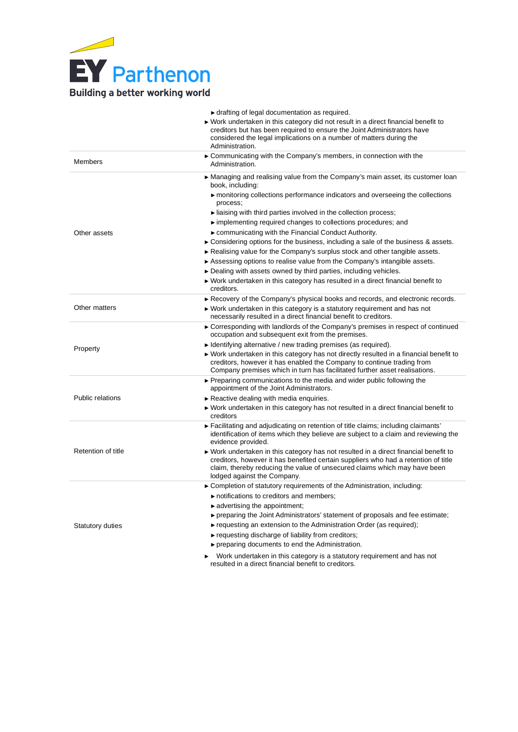

|                         | • drafting of legal documentation as required.<br>▶ Work undertaken in this category did not result in a direct financial benefit to<br>creditors but has been required to ensure the Joint Administrators have<br>considered the legal implications on a number of matters during the<br>Administration.                                                                                                                                                                                                                                                                                                                                                                                                                                                                                                                           |
|-------------------------|-------------------------------------------------------------------------------------------------------------------------------------------------------------------------------------------------------------------------------------------------------------------------------------------------------------------------------------------------------------------------------------------------------------------------------------------------------------------------------------------------------------------------------------------------------------------------------------------------------------------------------------------------------------------------------------------------------------------------------------------------------------------------------------------------------------------------------------|
| <b>Members</b>          | ► Communicating with the Company's members, in connection with the<br>Administration.                                                                                                                                                                                                                                                                                                                                                                                                                                                                                                                                                                                                                                                                                                                                               |
| Other assets            | ► Managing and realising value from the Company's main asset, its customer loan<br>book, including:<br>monitoring collections performance indicators and overseeing the collections<br>process;<br>liaising with third parties involved in the collection process;<br>implementing required changes to collections procedures; and<br>► communicating with the Financial Conduct Authority.<br>$\triangleright$ Considering options for the business, including a sale of the business & assets.<br>Realising value for the Company's surplus stock and other tangible assets.<br>► Assessing options to realise value from the Company's intangible assets.<br>► Dealing with assets owned by third parties, including vehicles.<br>► Work undertaken in this category has resulted in a direct financial benefit to<br>creditors. |
| Other matters           | Recovery of the Company's physical books and records, and electronic records.<br>► Work undertaken in this category is a statutory requirement and has not<br>necessarily resulted in a direct financial benefit to creditors.                                                                                                                                                                                                                                                                                                                                                                                                                                                                                                                                                                                                      |
| Property                | ► Corresponding with landlords of the Company's premises in respect of continued<br>occupation and subsequent exit from the premises.<br>$\blacktriangleright$ Identifying alternative / new trading premises (as required).<br>► Work undertaken in this category has not directly resulted in a financial benefit to<br>creditors, however it has enabled the Company to continue trading from<br>Company premises which in turn has facilitated further asset realisations.                                                                                                                                                                                                                                                                                                                                                      |
| <b>Public relations</b> | ► Preparing communications to the media and wider public following the<br>appointment of the Joint Administrators.<br>$\triangleright$ Reactive dealing with media enquiries.<br>► Work undertaken in this category has not resulted in a direct financial benefit to<br>creditors                                                                                                                                                                                                                                                                                                                                                                                                                                                                                                                                                  |
| Retention of title      | ► Facilitating and adjudicating on retention of title claims; including claimants'<br>identification of items which they believe are subject to a claim and reviewing the<br>evidence provided.<br>► Work undertaken in this category has not resulted in a direct financial benefit to<br>creditors, however it has benefited certain suppliers who had a retention of title<br>claim, thereby reducing the value of unsecured claims which may have been<br>lodged against the Company.                                                                                                                                                                                                                                                                                                                                           |
| Statutory duties        | ► Completion of statutory requirements of the Administration, including:<br>notifications to creditors and members;<br>$\blacktriangleright$ advertising the appointment;<br>► preparing the Joint Administrators' statement of proposals and fee estimate;<br>$\triangleright$ requesting an extension to the Administration Order (as required);<br>► requesting discharge of liability from creditors;<br>▶ preparing documents to end the Administration.<br>Work undertaken in this category is a statutory requirement and has not<br>▶<br>resulted in a direct financial benefit to creditors.                                                                                                                                                                                                                               |